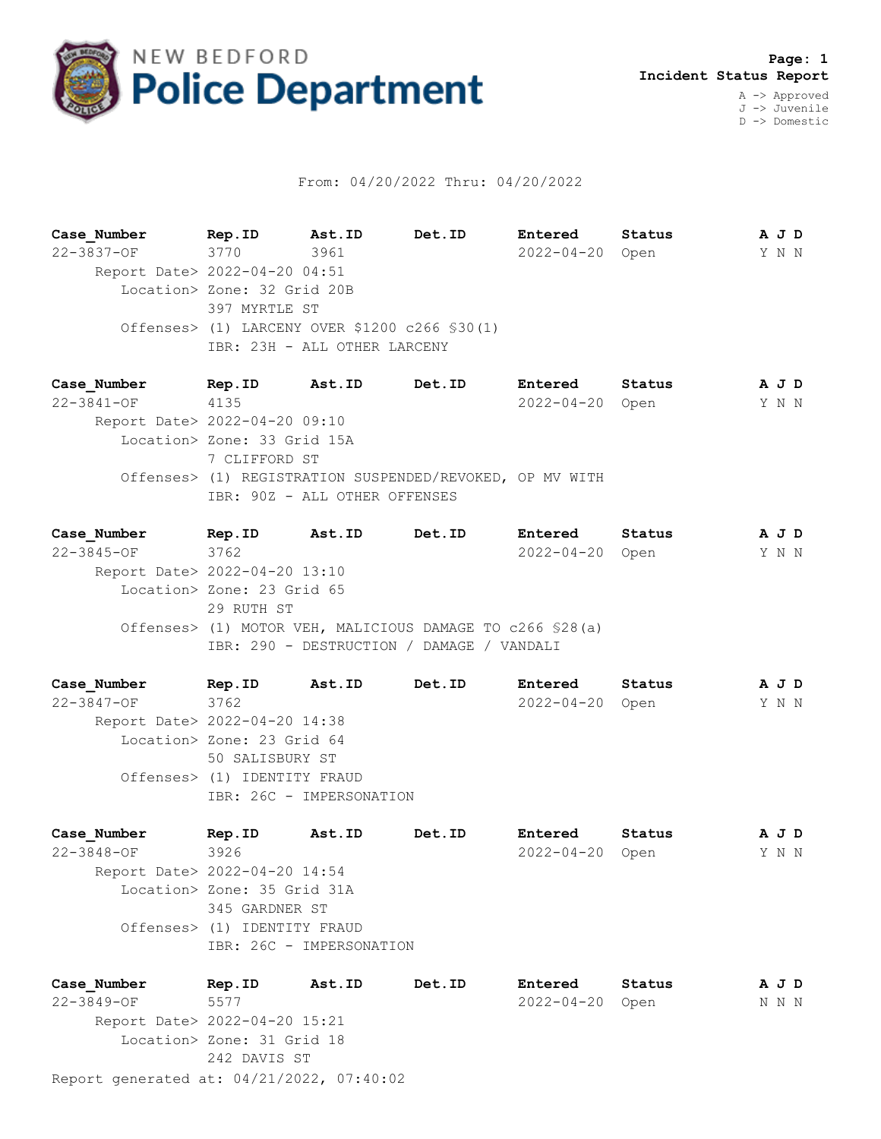

## From: 04/20/2022 Thru: 04/20/2022

**Case\_Number Rep.ID Ast.ID Det.ID Entered Status A J D** 22-3837-OF 3770 3961 2022-04-20 Open Y N N Report Date> 2022-04-20 04:51 Location> Zone: 32 Grid 20B 397 MYRTLE ST Offenses> (1) LARCENY OVER \$1200 c266 §30(1) IBR: 23H - ALL OTHER LARCENY

**Case\_Number Rep.ID Ast.ID Det.ID Entered Status A J D** 22-3841-OF 4135 2022-04-20 Open Y N N Report Date> 2022-04-20 09:10 Location> Zone: 33 Grid 15A 7 CLIFFORD ST Offenses> (1) REGISTRATION SUSPENDED/REVOKED, OP MV WITH IBR: 90Z - ALL OTHER OFFENSES

**Case\_Number Rep.ID Ast.ID Det.ID Entered Status A J D** 22-3845-OF 3762 2022-04-20 Open Y N N Report Date> 2022-04-20 13:10 Location> Zone: 23 Grid 65 29 RUTH ST Offenses> (1) MOTOR VEH, MALICIOUS DAMAGE TO c266 §28(a) IBR: 290 - DESTRUCTION / DAMAGE / VANDALI

**Case\_Number Rep.ID Ast.ID Det.ID Entered Status A J D** 22-3847-OF 3762 2022-04-20 Open Y N N Report Date> 2022-04-20 14:38 Location> Zone: 23 Grid 64 50 SALISBURY ST Offenses> (1) IDENTITY FRAUD IBR: 26C - IMPERSONATION

**Case\_Number Rep.ID Ast.ID Det.ID Entered Status A J D** 22-3848-OF 3926 2022-04-20 Open Y N N Report Date> 2022-04-20 14:54 Location> Zone: 35 Grid 31A 345 GARDNER ST Offenses> (1) IDENTITY FRAUD IBR: 26C - IMPERSONATION

Report generated at: 04/21/2022, 07:40:02 **Case\_Number Rep.ID Ast.ID Det.ID Entered Status A J D** 22-3849-OF 5577 2022-04-20 Open N N N Report Date> 2022-04-20 15:21 Location> Zone: 31 Grid 18 242 DAVIS ST